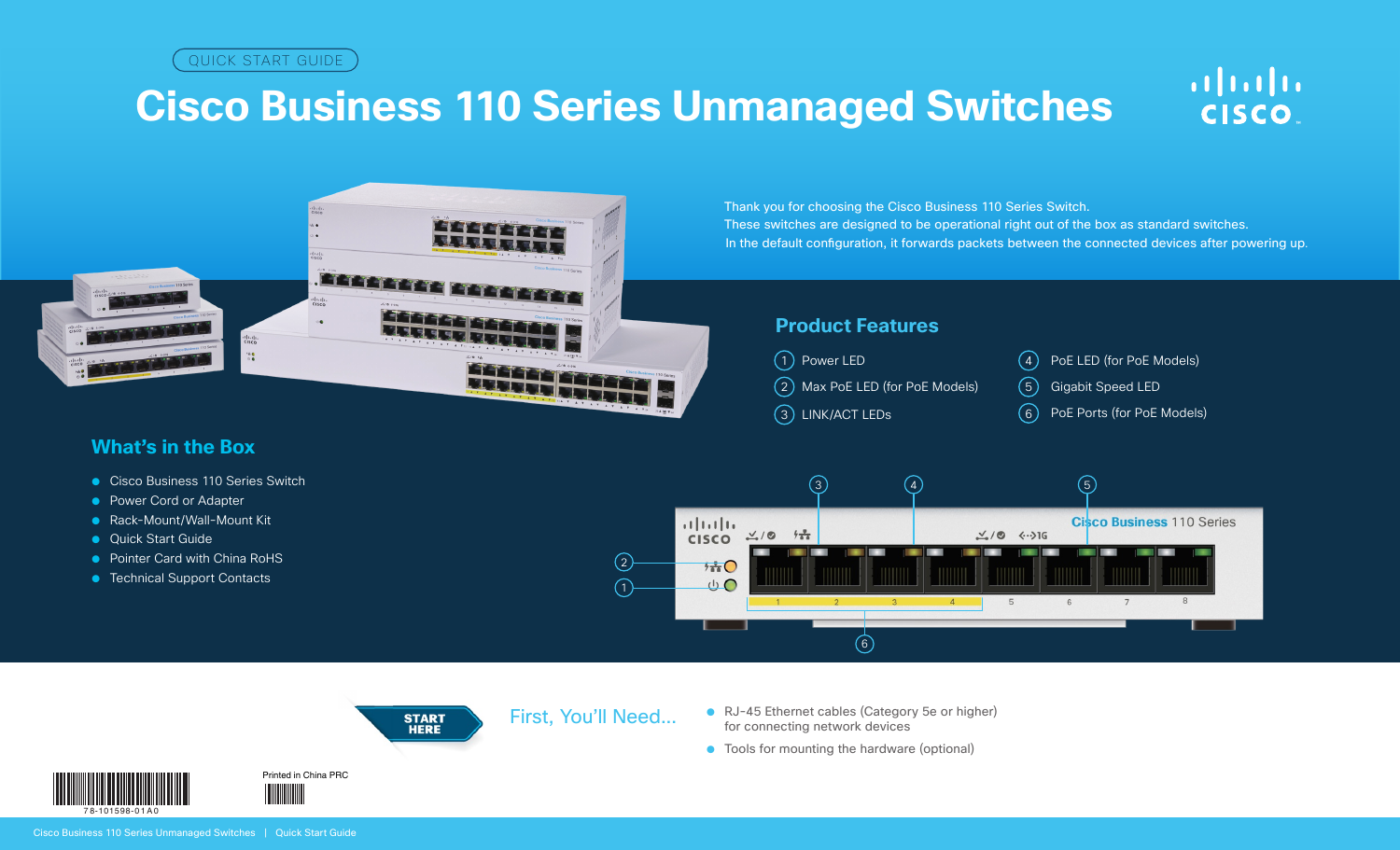QUICK START GUIDE

# **Cisco Business 110 Series Unmanaged Switches**





#### Thank you for choosing the Cisco Business 110 Series Switch. These switches are designed to be operational right out of the box as standard switches. In the default configuration, it forwards packets between the connected devices after powering up.

### **Product Features**

- 1 Power LED 2 Max PoE LED (for PoE Models) 3 LINK/ACT LEDs
	- (4) PoE LED (for PoE Models)
	- 5 Gigabit Speed LED
	- 6 PoE Ports (for PoE Models)

### **What's in the Box**

- Cisco Business 110 Series Switch
- Power Cord or Adapter
- Rack-Mount/Wall-Mount Kit
- Quick Start Guide
- Pointer Card with China RoHS
- Technical Support Contacts





First, You'll Need...

- RJ-45 Ethernet cables (Category 5e or higher) for connecting network devices
- Tools for mounting the hardware (optional)



Cisco Business 110 Series Unmanaged Switches | Quick Start Guide

Printed in China PRC